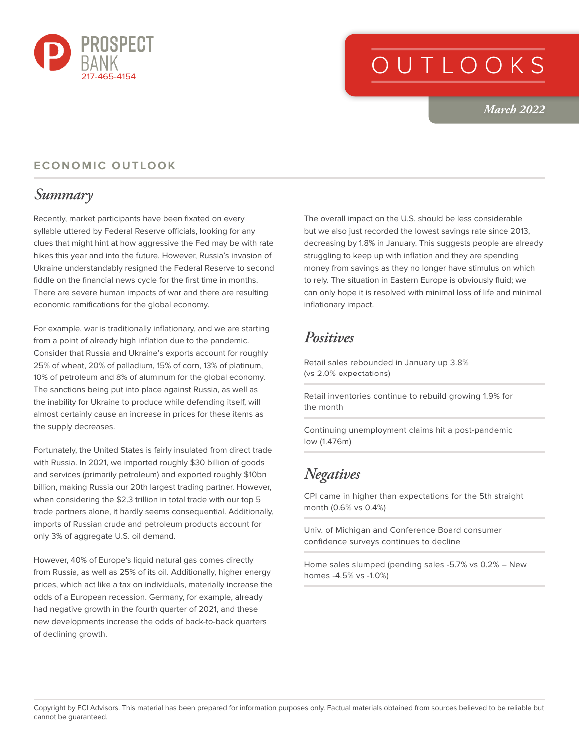

# OUTLOOKS

*March 2022*

#### **ECONOMIC OUTLOOK**

#### *Summary*

Recently, market participants have been fixated on every syllable uttered by Federal Reserve officials, looking for any clues that might hint at how aggressive the Fed may be with rate hikes this year and into the future. However, Russia's invasion of Ukraine understandably resigned the Federal Reserve to second fiddle on the financial news cycle for the first time in months. There are severe human impacts of war and there are resulting economic ramifications for the global economy.

For example, war is traditionally inflationary, and we are starting from a point of already high inflation due to the pandemic. Consider that Russia and Ukraine's exports account for roughly 25% of wheat, 20% of palladium, 15% of corn, 13% of platinum, 10% of petroleum and 8% of aluminum for the global economy. The sanctions being put into place against Russia, as well as the inability for Ukraine to produce while defending itself, will almost certainly cause an increase in prices for these items as the supply decreases.

Fortunately, the United States is fairly insulated from direct trade with Russia. In 2021, we imported roughly \$30 billion of goods and services (primarily petroleum) and exported roughly \$10bn billion, making Russia our 20th largest trading partner. However, when considering the \$2.3 trillion in total trade with our top 5 trade partners alone, it hardly seems consequential. Additionally, imports of Russian crude and petroleum products account for only 3% of aggregate U.S. oil demand.

However, 40% of Europe's liquid natural gas comes directly from Russia, as well as 25% of its oil. Additionally, higher energy prices, which act like a tax on individuals, materially increase the odds of a European recession. Germany, for example, already had negative growth in the fourth quarter of 2021, and these new developments increase the odds of back-to-back quarters of declining growth.

The overall impact on the U.S. should be less considerable but we also just recorded the lowest savings rate since 2013, decreasing by 1.8% in January. This suggests people are already struggling to keep up with inflation and they are spending money from savings as they no longer have stimulus on which to rely. The situation in Eastern Europe is obviously fluid; we can only hope it is resolved with minimal loss of life and minimal inflationary impact.

#### *Positives*

Retail sales rebounded in January up 3.8% (vs 2.0% expectations)

Retail inventories continue to rebuild growing 1.9% for the month

Continuing unemployment claims hit a post-pandemic low (1.476m)

#### *Negatives*

CPI came in higher than expectations for the 5th straight month (0.6% vs 0.4%)

Univ. of Michigan and Conference Board consumer confidence surveys continues to decline

Home sales slumped (pending sales -5.7% vs 0.2% – New homes -4.5% vs -1.0%)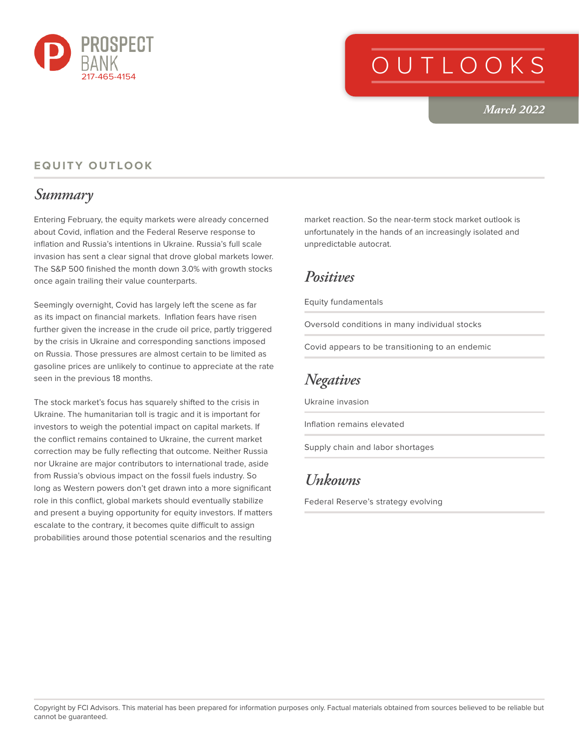

# OUTLOOKS

*March 2022*

#### **EQUITY OUTLOOK**

#### *Summary*

Entering February, the equity markets were already concerned about Covid, inflation and the Federal Reserve response to inflation and Russia's intentions in Ukraine. Russia's full scale invasion has sent a clear signal that drove global markets lower. The S&P 500 finished the month down 3.0% with growth stocks once again trailing their value counterparts.

Seemingly overnight, Covid has largely left the scene as far as its impact on financial markets. Inflation fears have risen further given the increase in the crude oil price, partly triggered by the crisis in Ukraine and corresponding sanctions imposed on Russia. Those pressures are almost certain to be limited as gasoline prices are unlikely to continue to appreciate at the rate seen in the previous 18 months.

The stock market's focus has squarely shifted to the crisis in Ukraine. The humanitarian toll is tragic and it is important for investors to weigh the potential impact on capital markets. If the conflict remains contained to Ukraine, the current market correction may be fully reflecting that outcome. Neither Russia nor Ukraine are major contributors to international trade, aside from Russia's obvious impact on the fossil fuels industry. So long as Western powers don't get drawn into a more significant role in this conflict, global markets should eventually stabilize and present a buying opportunity for equity investors. If matters escalate to the contrary, it becomes quite difficult to assign probabilities around those potential scenarios and the resulting

market reaction. So the near-term stock market outlook is unfortunately in the hands of an increasingly isolated and unpredictable autocrat.

#### *Positives*

Equity fundamentals

Oversold conditions in many individual stocks

Covid appears to be transitioning to an endemic

### *Negatives*

Ukraine invasion

Inflation remains elevated

Supply chain and labor shortages

#### *Unkowns*

Federal Reserve's strategy evolving